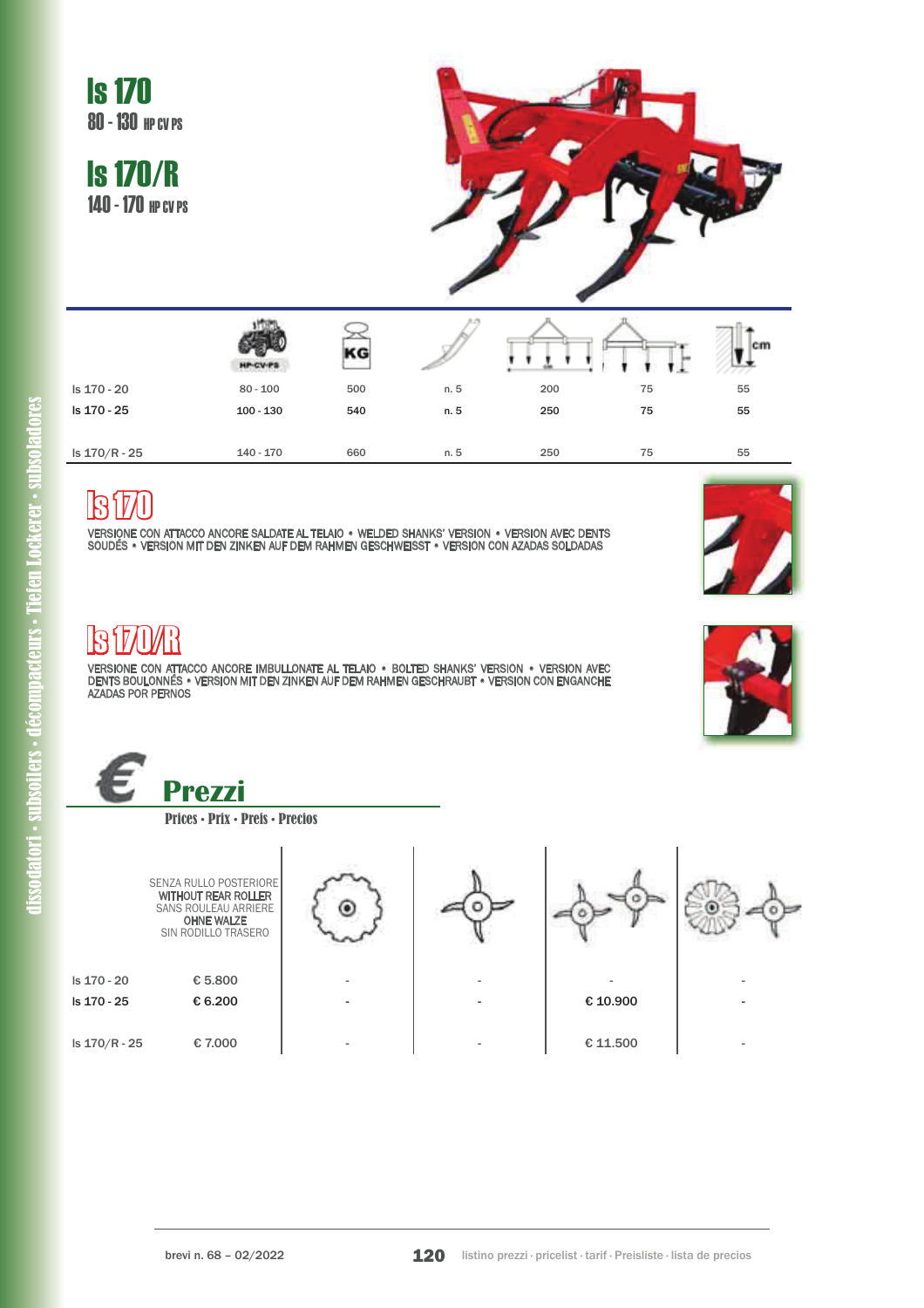

## lß

VERSIONE CON ATTACCO ANCORE SALDATE AL TELAIO . WELDED SHANKS' VERSION . VERSION AVEC DENTS SOUDÉS . VERSION MIT DEN ZINKEN AUF DEM RAHMEN GESCHWEISST . VERSION CON AZADAS SOLDADAS



#### IRIMI R

VERSIONE CON ATTACCO ANCORE IMBULLONATE AL TELAIO . BOLTED SHANKS' VERSION . VERSION AVEC DENTS BOULONNÉS . VERSION MIT DEN ZINKEN AUF DEM RAHMEN GESCHRAUBT . VERSION CON ENGANCHE AZADAS POR PERNOS



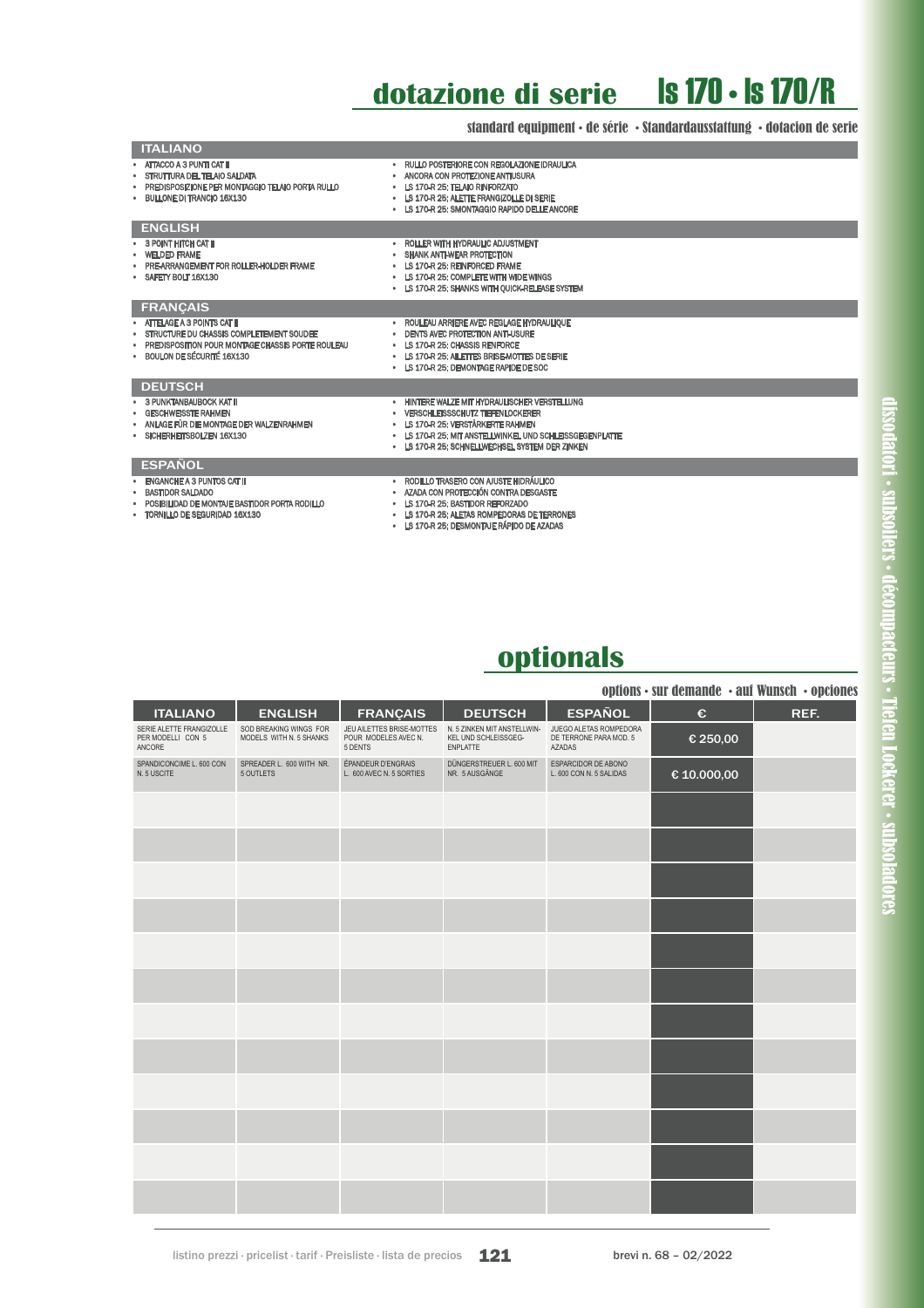#### **dotazione di serie** ls 170 • ls 170/R

standard equipment • de série • Standardausstattung • dotacion de serie

| <b>ITALIANO</b>                                                                                                                                                |                                                                                                                                                                                                                                          |
|----------------------------------------------------------------------------------------------------------------------------------------------------------------|------------------------------------------------------------------------------------------------------------------------------------------------------------------------------------------------------------------------------------------|
| • ATTACCO A 3 PUNTI CAT II<br>• STRUTTURA DEL TELAIO SALDATA<br>. PREDISPOSIZIONE PER MONTAGGIO TELAIO PORTA RULLO<br>· BULLONE DI TRANCIO 16X130              | . RULLO POSTERIORE CON REGOLAZIONE IDRAULICA<br>• ANCORA CON PROTEZIONE ANTIUSURA<br>• LS 170-R 25: TELAIO RINFORZATO<br>. LS 170-R 25: ALETTE FRANGIZOLLE DI SERIE<br>• LS 170-R 25: SMONTAGGIO RAPIDO DELLE ANCORE                     |
| <b>ENGLISH</b>                                                                                                                                                 |                                                                                                                                                                                                                                          |
| • 3 POINT HITCH CAT II<br>· WELDED FRAME<br>• PRE-ARRANGEMENT FOR ROLLER-HOLDER FRAME<br>* SAFETY BOLT 16X130                                                  | • ROLLER WITH HYDRAULIC ADJUSTMENT<br>• SHANK ANTI-WEAR PROTECTION<br>• LS 170-R 25: REINFORCED FRAME<br>• LS 170-R 25: COMPLETE WITH WIDE WINGS<br>• LS 170-R 25: SHANKS WITH OUICK-RELEASE SYSTEM                                      |
| <b>FRANCAIS</b>                                                                                                                                                |                                                                                                                                                                                                                                          |
| · ATTELAGE A 3 POINTS CAT II<br>· STRUCTURE DU CHASSIS COMPLETEMENT SOUDEE<br>PREDISPOSITION POUR MONTAGE CHASSIS PORTE ROULEAU<br>· BOULON DE SÉCURITÉ 16X130 | · ROULEAU ARRIERE AVEC REGLAGE HYDRAULIQUE<br>• DENTS AVEC PROTECTION ANTI-USURE<br>• LS 170-R 25: CHASSIS RENFORCE<br>• LS 170-R 25: AILETTES BRISE-MOTTES DE SERIE<br>. LS 170-R 25: DEMONTAGE RAPIDE DE SOC                           |
| <b>DEUTSCH</b>                                                                                                                                                 |                                                                                                                                                                                                                                          |
| • 3 PUNKTANBAUBOCK KAT II<br>• GESCHWEISSTE RAHMEN<br>. ANLAGE FÜR DIE MONTAGE DER WALZENRAHMEN<br>· SICHERHEITSBOLZEN 16X130                                  | . HINTERE WALZE MIT HYDRAULISCHER VERSTELLUNG<br>• VERSCHLEISSSCHUTZ TIEFENLOCKERER<br>• LS 170-R 25: VERSTÄRKERTE RAHMEN<br>. LS 170-R 25: MIT ANSTELLWINKEL UND SCHLEISSGEGENPLATTE<br>. LS 170-R 25: SCHNELLWECHSEL SYSTEM DER ZINKEN |
| <b>ESPAÑOL</b>                                                                                                                                                 |                                                                                                                                                                                                                                          |
| ENGANCHE A 3 PUNTOS CAT II<br><b>BASTIDOR SALDADO</b><br>• POSIBILIDAD DE MONTAJE BASTIDOR PORTA RODILLO<br>· TORNILLO DE SEGURIDAD 16X130                     | • RODILLO TRASERO CON AJUSTE HIDRÁULICO<br>· AZADA CON PROTECCIÓN CONTRA DESGASTE<br>• LS 170-R 25: BASTIDOR REFORZADO<br>• LS 170-R 25: ALETAS ROMPEDORAS DE TERRONES<br>• LS 170-R 25: DESMONTAJE RÁPIDO DE AZADAS                     |



|                                                         |                                                   |                                                              |                                                                        |                                                            |                                                    | options • sur demande • auf Wunsch • opciones |
|---------------------------------------------------------|---------------------------------------------------|--------------------------------------------------------------|------------------------------------------------------------------------|------------------------------------------------------------|----------------------------------------------------|-----------------------------------------------|
| <b>ITALIANO</b>                                         | <b>ENGLISH</b>                                    | <b>FRANÇAIS</b>                                              | <b>DEUTSCH</b>                                                         | <b>ESPAÑOL</b>                                             | €                                                  | REF.                                          |
| SERIE ALETTE FRANGIZOLLE<br>PER MODELLI CON 5<br>ANCORE | SOD BREAKING WINGS FOR<br>MODELS WITH N. 5 SHANKS | JEU AILETTES BRISE-MOTTES<br>POUR MODELES AVEC N.<br>5 DENTS | N. 5 ZINKEN MIT ANSTELLWIN-<br>KEL UND SCHLEISSGEG-<br><b>ENPLATTE</b> | JUEGO ALETAS ROMPEDORA<br>DE TERRONE PARA MOD. 5<br>AZADAS | € 250,00                                           |                                               |
| SPANDICONCIME L. 600 CON<br>N. 5 USCITE                 | SPREADER L. 600 WITH NR.<br>5 OUTLETS             | ÉPANDEUR D'ENGRAIS<br>L. 600 AVEC N. 5 SORTIES               | DÜNGERSTREUER L. 600 MIT<br>NR. 5 AUSGÄNGE                             | ESPARCIDOR DE ABONO<br>L. 600 CON N. 5 SALIDAS             | $\ensuremath{\mathnormal{\mathfrak{C}}}$ 10.000,00 |                                               |
|                                                         |                                                   |                                                              |                                                                        |                                                            |                                                    |                                               |
|                                                         |                                                   |                                                              |                                                                        |                                                            |                                                    |                                               |
|                                                         |                                                   |                                                              |                                                                        |                                                            |                                                    |                                               |
|                                                         |                                                   |                                                              |                                                                        |                                                            |                                                    |                                               |
|                                                         |                                                   |                                                              |                                                                        |                                                            |                                                    |                                               |
|                                                         |                                                   |                                                              |                                                                        |                                                            |                                                    |                                               |
|                                                         |                                                   |                                                              |                                                                        |                                                            |                                                    |                                               |
|                                                         |                                                   |                                                              |                                                                        |                                                            |                                                    |                                               |
|                                                         |                                                   |                                                              |                                                                        |                                                            |                                                    |                                               |
|                                                         |                                                   |                                                              |                                                                        |                                                            |                                                    |                                               |
|                                                         |                                                   |                                                              |                                                                        |                                                            |                                                    |                                               |
|                                                         |                                                   |                                                              |                                                                        |                                                            |                                                    |                                               |

listino prezzi · pricelist · tarif · Preisliste · lista de precios  $121$  brevi n. 68 – 02/2022